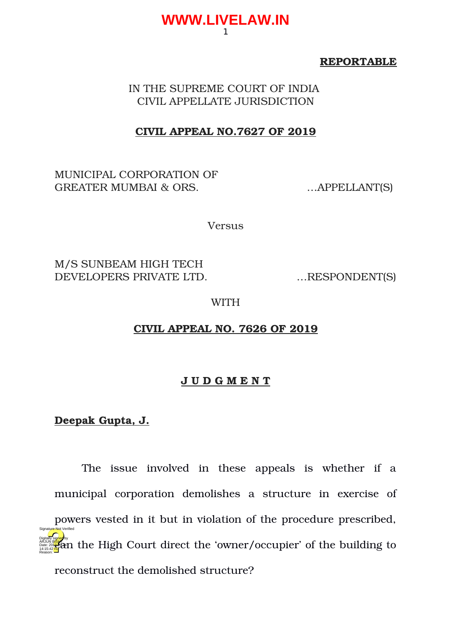#### **REPORTABLE**

IN THE SUPREME COURT OF INDIA CIVIL APPELLATE JURISDICTION

1

**WWW.LIVELAW.IN**

#### **CIVIL APPEAL NO.7627 OF 2019**

MUNICIPAL CORPORATION OF GREATER MUMBAI & ORS. .... APPELLANT(S)

Versus

M/S SUNBEAM HIGH TECH DEVELOPERS PRIVATE LTD. ... RESPONDENT(S)

WITH

# **CIVIL APPEAL NO. 7626 OF 2019**

#### **J U D G M E N T**

#### **Deepak Gupta, J.**

The issue involved in these appeals is whether if a municipal corporation demolishes a structure in exercise of powers vested in it but in violation of the procedure prescribed, de all the High Court direct the 'owner/occupier' of the building to reconstruct the demolished structure? 14:15:42 IST Reason: Signature Not Verified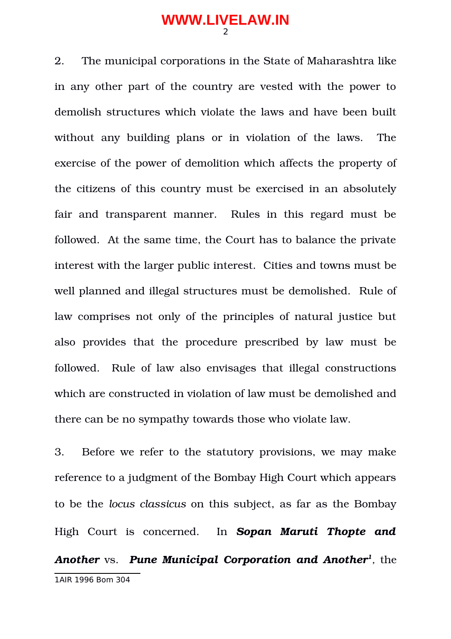2. The municipal corporations in the State of Maharashtra like in any other part of the country are vested with the power to demolish structures which violate the laws and have been built without any building plans or in violation of the laws. The exercise of the power of demolition which affects the property of the citizens of this country must be exercised in an absolutely fair and transparent manner. Rules in this regard must be followed. At the same time, the Court has to balance the private interest with the larger public interest. Cities and towns must be well planned and illegal structures must be demolished. Rule of law comprises not only of the principles of natural justice but also provides that the procedure prescribed by law must be followed. Rule of law also envisages that illegal constructions which are constructed in violation of law must be demolished and there can be no sympathy towards those who violate law.

<span id="page-1-0"></span>3. Before we refer to the statutory provisions, we may make reference to a judgment of the Bombay High Court which appears to be the *locus classicus* on this subject, as far as the Bombay High Court is concerned. In *Sopan Maruti Thopte and Another* vs. *Pune Municipal Corporation and Another[1](#page-1-0) ,* the 1AIR 1996 Bom 304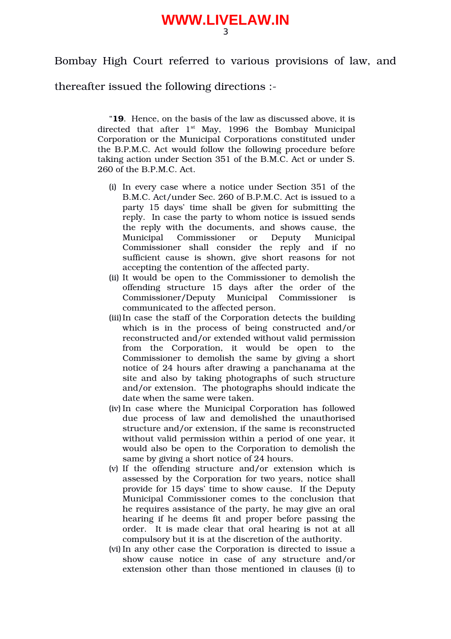Bombay High Court referred to various provisions of law, and

thereafter issued the following directions :

"**19**. Hence, on the basis of the law as discussed above, it is directed that after  $1<sup>st</sup>$  May, 1996 the Bombay Municipal Corporation or the Municipal Corporations constituted under the B.P.M.C. Act would follow the following procedure before taking action under Section 351 of the B.M.C. Act or under S. 260 of the B.P.M.C. Act.

- (i) In every case where a notice under Section 351 of the B.M.C. Act/under Sec. 260 of B.P.M.C. Act is issued to a party 15 days' time shall be given for submitting the reply. In case the party to whom notice is issued sends the reply with the documents, and shows cause, the Municipal Commissioner or Deputy Municipal Commissioner shall consider the reply and if no sufficient cause is shown, give short reasons for not accepting the contention of the affected party.
- (ii) It would be open to the Commissioner to demolish the offending structure 15 days after the order of the Commissioner/Deputy Municipal Commissioner is communicated to the affected person.
- (iii)In case the staff of the Corporation detects the building which is in the process of being constructed and/or reconstructed and/or extended without valid permission from the Corporation, it would be open to the Commissioner to demolish the same by giving a short notice of 24 hours after drawing a panchanama at the site and also by taking photographs of such structure and/or extension. The photographs should indicate the date when the same were taken.
- (iv) In case where the Municipal Corporation has followed due process of law and demolished the unauthorised structure and/or extension, if the same is reconstructed without valid permission within a period of one year, it would also be open to the Corporation to demolish the same by giving a short notice of 24 hours.
- (v) If the offending structure and/or extension which is assessed by the Corporation for two years, notice shall provide for 15 days' time to show cause. If the Deputy Municipal Commissioner comes to the conclusion that he requires assistance of the party, he may give an oral hearing if he deems fit and proper before passing the order. It is made clear that oral hearing is not at all compulsory but it is at the discretion of the authority.
- (vi) In any other case the Corporation is directed to issue a show cause notice in case of any structure and/or extension other than those mentioned in clauses (i) to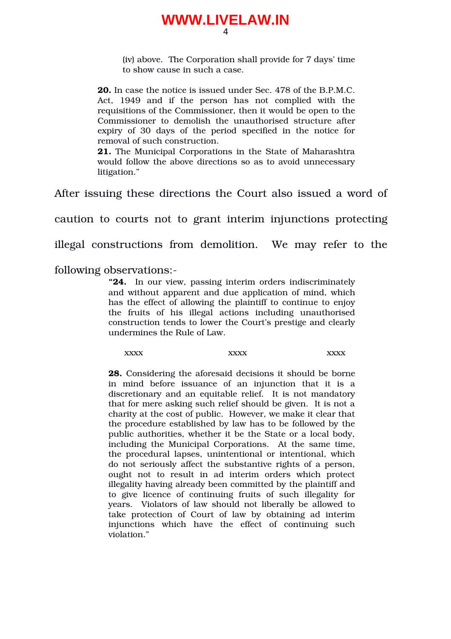(iv) above. The Corporation shall provide for 7 days' time to show cause in such a case.

**20.** In case the notice is issued under Sec. 478 of the B.P.M.C. Act, 1949 and if the person has not complied with the requisitions of the Commissioner, then it would be open to the Commissioner to demolish the unauthorised structure after expiry of 30 days of the period specified in the notice for removal of such construction.

**21.** The Municipal Corporations in the State of Maharashtra would follow the above directions so as to avoid unnecessary litigation."

After issuing these directions the Court also issued a word of

caution to courts not to grant interim injunctions protecting

illegal constructions from demolition. We may refer to the

following observations:

**"24.** In our view, passing interim orders indiscriminately and without apparent and due application of mind, which has the effect of allowing the plaintiff to continue to enjoy the fruits of his illegal actions including unauthorised construction tends to lower the Court's prestige and clearly undermines the Rule of Law.

 $\text{XXX}$   $\text{XXX}$   $\text{XXX}$ 

**28.** Considering the aforesaid decisions it should be borne in mind before issuance of an injunction that it is a discretionary and an equitable relief. It is not mandatory that for mere asking such relief should be given. It is not a charity at the cost of public. However, we make it clear that the procedure established by law has to be followed by the public authorities, whether it be the State or a local body, including the Municipal Corporations. At the same time, the procedural lapses, unintentional or intentional, which do not seriously affect the substantive rights of a person, ought not to result in ad interim orders which protect illegality having already been committed by the plaintiff and to give licence of continuing fruits of such illegality for years. Violators of law should not liberally be allowed to take protection of Court of law by obtaining ad interim injunctions which have the effect of continuing such violation."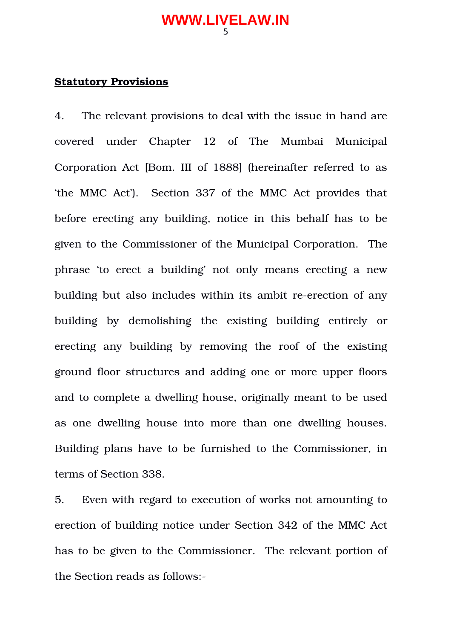#### **Statutory Provisions**

4. The relevant provisions to deal with the issue in hand are covered under Chapter 12 of The Mumbai Municipal Corporation Act [Bom. III of 1888] (hereinafter referred to as 'the MMC Act'). Section 337 of the MMC Act provides that before erecting any building, notice in this behalf has to be given to the Commissioner of the Municipal Corporation. The phrase 'to erect a building' not only means erecting a new building but also includes within its ambit re-erection of any building by demolishing the existing building entirely or erecting any building by removing the roof of the existing ground floor structures and adding one or more upper floors and to complete a dwelling house, originally meant to be used as one dwelling house into more than one dwelling houses. Building plans have to be furnished to the Commissioner, in terms of Section 338.

5. Even with regard to execution of works not amounting to erection of building notice under Section 342 of the MMC Act has to be given to the Commissioner. The relevant portion of the Section reads as follows: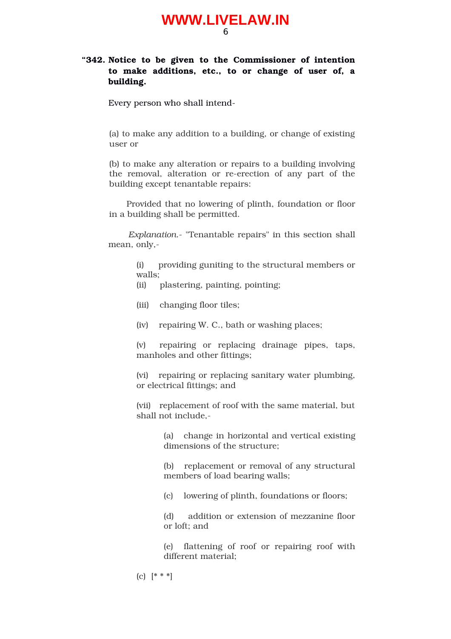#### **"342. Notice to be given to the Commissioner of intention to make additions, etc., to or change of user of, a building.**

Every person who shall intend

(a) to make any addition to a building, or change of existing user or

(b) to make any alteration or repairs to a building involving the removal, alteration or re-erection of any part of the building except tenantable repairs:

 Provided that no lowering of plinth, foundation or floor in a building shall be permitted.

 *Explanation.* "Tenantable repairs" in this section shall mean, only,

> (i) providing guniting to the structural members or walls;

(ii) plastering, painting, pointing;

- (iii) changing floor tiles;
- (iv) repairing W. C., bath or washing places;

(v) repairing or replacing drainage pipes, taps, manholes and other fittings;

(vi) repairing or replacing sanitary water plumbing, or electrical fittings; and

(vii) replacement of roof with the same material, but shall not include,

> (a) change in horizontal and vertical existing dimensions of the structure;

> (b) replacement or removal of any structural members of load bearing walls;

(c) lowering of plinth, foundations or floors;

(d) addition or extension of mezzanine floor or loft; and

(e) flattening of roof or repairing roof with different material;

(c) [\* \* \*]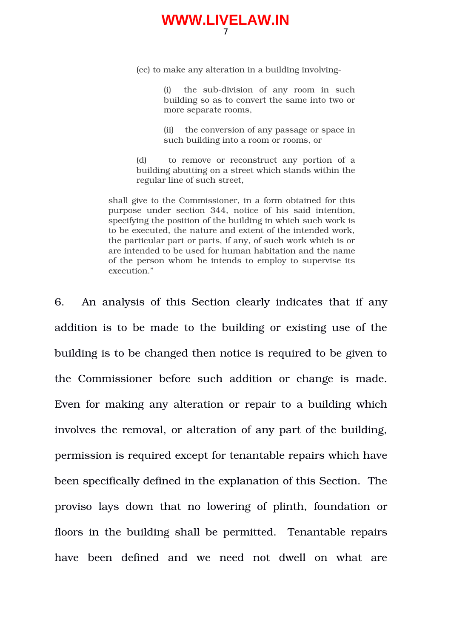(cc) to make any alteration in a building involving

(i) the sub-division of any room in such building so as to convert the same into two or more separate rooms,

(ii) the conversion of any passage or space in such building into a room or rooms, or

(d) to remove or reconstruct any portion of a building abutting on a street which stands within the regular line of such street,

shall give to the Commissioner, in a form obtained for this purpose under section 344, notice of his said intention, specifying the position of the building in which such work is to be executed, the nature and extent of the intended work, the particular part or parts, if any, of such work which is or are intended to be used for human habitation and the name of the person whom he intends to employ to supervise its execution."

6. An analysis of this Section clearly indicates that if any addition is to be made to the building or existing use of the building is to be changed then notice is required to be given to the Commissioner before such addition or change is made. Even for making any alteration or repair to a building which involves the removal, or alteration of any part of the building, permission is required except for tenantable repairs which have been specifically defined in the explanation of this Section. The proviso lays down that no lowering of plinth, foundation or floors in the building shall be permitted. Tenantable repairs have been defined and we need not dwell on what are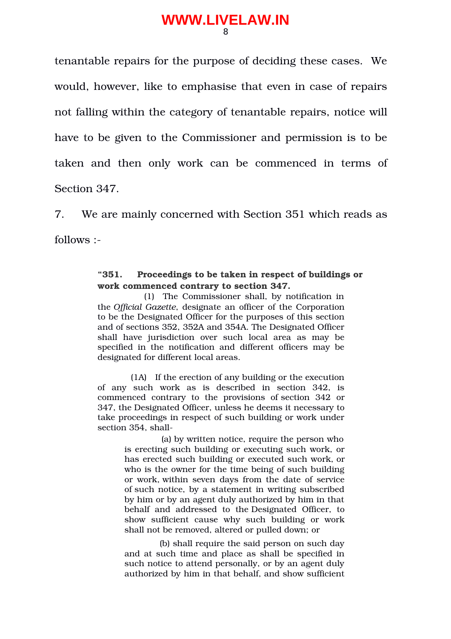tenantable repairs for the purpose of deciding these cases. We would, however, like to emphasise that even in case of repairs not falling within the category of tenantable repairs, notice will have to be given to the Commissioner and permission is to be taken and then only work can be commenced in terms of Section 347.

7. We are mainly concerned with Section 351 which reads as follows :

#### **"351. Proceedings to be taken in respect of buildings or work commenced contrary to section 347.**

 (1) The Commissioner shall, by notification in the *Official Gazette*, designate an officer of the Corporation to be the Designated Officer for the purposes of this section and of sections 352, 352A and 354A. The Designated Officer shall have jurisdiction over such local area as may be specified in the notification and different officers may be designated for different local areas.

 (1A) If the erection of any building or the execution of any such work as is described in section 342, is commenced contrary to the provisions of section 342 or 347, the Designated Officer, unless he deems it necessary to take proceedings in respect of such building or work under section 354, shall

> (a) by written notice, require the person who is erecting such building or executing such work, or has erected such building or executed such work, or who is the owner for the time being of such building or work, within seven days from the date of service of such notice, by a statement in writing subscribed by him or by an agent duly authorized by him in that behalf and addressed to the Designated Officer, to show sufficient cause why such building or work shall not be removed, altered or pulled down; or

> (b) shall require the said person on such day and at such time and place as shall be specified in such notice to attend personally, or by an agent duly authorized by him in that behalf, and show sufficient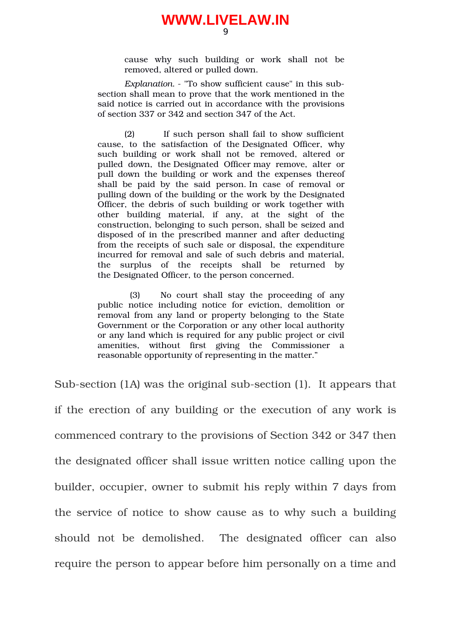cause why such building or work shall not be removed, altered or pulled down.

*Explanation*. "To show sufficient cause" in this subsection shall mean to prove that the work mentioned in the said notice is carried out in accordance with the provisions of section 337 or 342 and section 347 of the Act.

(2) If such person shall fail to show sufficient cause, to the satisfaction of the Designated Officer, why such building or work shall not be removed, altered or pulled down, the Designated Officer may remove, alter or pull down the building or work and the expenses thereof shall be paid by the said person. In case of removal or pulling down of the building or the work by the Designated Officer, the debris of such building or work together with other building material, if any, at the sight of the construction, belonging to such person, shall be seized and disposed of in the prescribed manner and after deducting from the receipts of such sale or disposal, the expenditure incurred for removal and sale of such debris and material, the surplus of the receipts shall be returned by the Designated Officer, to the person concerned.

(3) No court shall stay the proceeding of any public notice including notice for eviction, demolition or removal from any land or property belonging to the State Government or the Corporation or any other local authority or any land which is required for any public project or civil amenities, without first giving the Commissioner a reasonable opportunity of representing in the matter."

Sub-section (1A) was the original sub-section (1). It appears that if the erection of any building or the execution of any work is commenced contrary to the provisions of Section 342 or 347 then the designated officer shall issue written notice calling upon the builder, occupier, owner to submit his reply within 7 days from the service of notice to show cause as to why such a building should not be demolished. The designated officer can also require the person to appear before him personally on a time and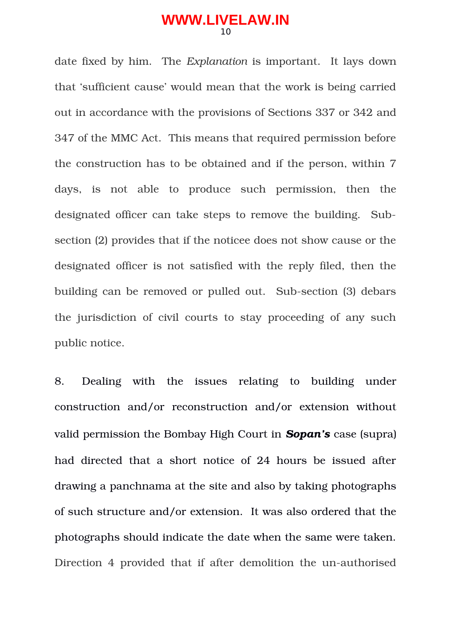date fixed by him. The *Explanation* is important. It lays down that 'sufficient cause' would mean that the work is being carried out in accordance with the provisions of Sections 337 or 342 and 347 of the MMC Act. This means that required permission before the construction has to be obtained and if the person, within 7 days, is not able to produce such permission, then the designated officer can take steps to remove the building. Subsection (2) provides that if the noticee does not show cause or the designated officer is not satisfied with the reply filed, then the building can be removed or pulled out. Sub-section (3) debars the jurisdiction of civil courts to stay proceeding of any such public notice.

8. Dealing with the issues relating to building under construction and/or reconstruction and/or extension without valid permission the Bombay High Court in *Sopan's* case (supra) had directed that a short notice of 24 hours be issued after drawing a panchnama at the site and also by taking photographs of such structure and/or extension. It was also ordered that the photographs should indicate the date when the same were taken. Direction 4 provided that if after demolition the un-authorised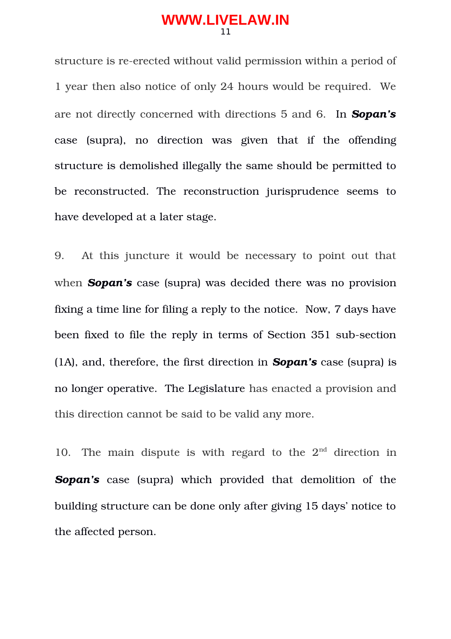structure is re-erected without valid permission within a period of 1 year then also notice of only 24 hours would be required. We are not directly concerned with directions 5 and 6. In *Sopan's* case (supra), no direction was given that if the offending structure is demolished illegally the same should be permitted to be reconstructed. The reconstruction jurisprudence seems to have developed at a later stage.

9. At this juncture it would be necessary to point out that when **Sopan's** case (supra) was decided there was no provision fixing a time line for filing a reply to the notice. Now, 7 days have been fixed to file the reply in terms of Section 351 sub-section (1A), and, therefore, the first direction in *Sopan's* case (supra) is no longer operative. The Legislature has enacted a provision and this direction cannot be said to be valid any more.

10. The main dispute is with regard to the  $2<sup>nd</sup>$  direction in **Sopan's** case (supra) which provided that demolition of the building structure can be done only after giving 15 days' notice to the affected person.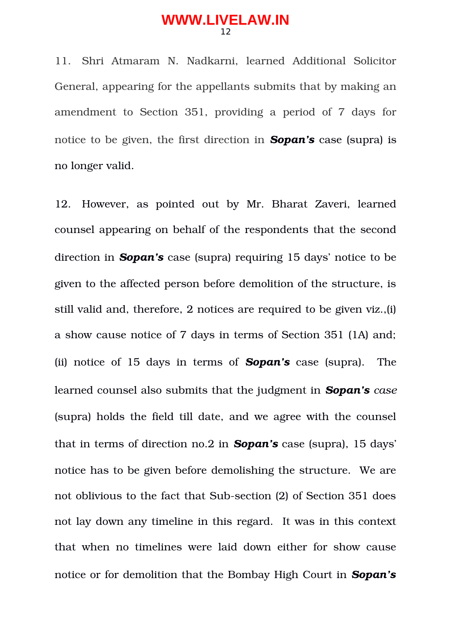11. Shri Atmaram N. Nadkarni, learned Additional Solicitor General, appearing for the appellants submits that by making an amendment to Section 351, providing a period of 7 days for notice to be given, the first direction in *Sopan's* case (supra) is no longer valid.

12. However, as pointed out by Mr. Bharat Zaveri, learned counsel appearing on behalf of the respondents that the second direction in *Sopan's* case (supra) requiring 15 days' notice to be given to the affected person before demolition of the structure, is still valid and, therefore, 2 notices are required to be given viz.,(i) a show cause notice of 7 days in terms of Section 351 (1A) and; (ii) notice of 15 days in terms of *Sopan's* case (supra). The learned counsel also submits that the judgment in *Sopan's case* (supra) holds the field till date, and we agree with the counsel that in terms of direction no.2 in *Sopan's* case (supra), 15 days' notice has to be given before demolishing the structure. We are not oblivious to the fact that Sub-section (2) of Section 351 does not lay down any timeline in this regard. It was in this context that when no timelines were laid down either for show cause notice or for demolition that the Bombay High Court in *Sopan's*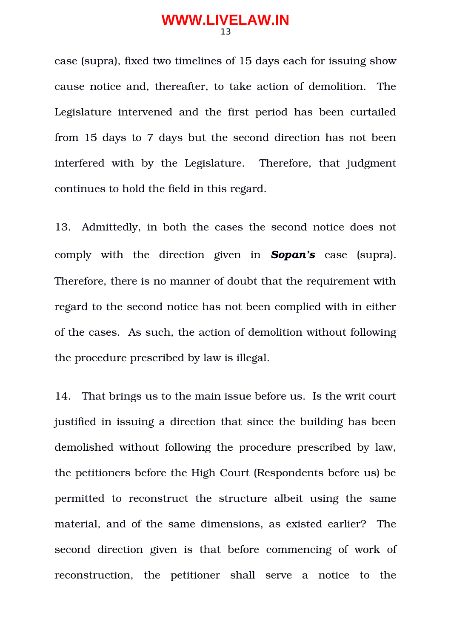case (supra), fixed two timelines of 15 days each for issuing show cause notice and, thereafter, to take action of demolition. The Legislature intervened and the first period has been curtailed from 15 days to 7 days but the second direction has not been interfered with by the Legislature. Therefore, that iudgment continues to hold the field in this regard.

13. Admittedly, in both the cases the second notice does not comply with the direction given in *Sopan's* case (supra). Therefore, there is no manner of doubt that the requirement with regard to the second notice has not been complied with in either of the cases. As such, the action of demolition without following the procedure prescribed by law is illegal.

14. That brings us to the main issue before us. Is the writ court justified in issuing a direction that since the building has been demolished without following the procedure prescribed by law, the petitioners before the High Court (Respondents before us) be permitted to reconstruct the structure albeit using the same material, and of the same dimensions, as existed earlier? The second direction given is that before commencing of work of reconstruction, the petitioner shall serve a notice to the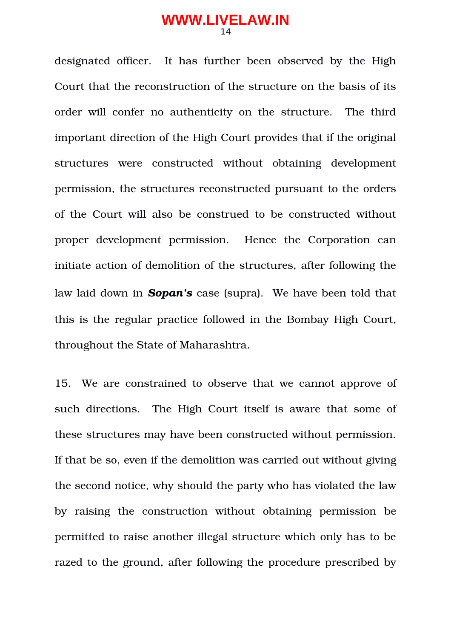designated officer. It has further been observed by the High Court that the reconstruction of the structure on the basis of its order will confer no authenticity on the structure. The third important direction of the High Court provides that if the original structures were constructed without obtaining development permission, the structures reconstructed pursuant to the orders of the Court will also be construed to be constructed without proper development permission. Hence the Corporation can initiate action of demolition of the structures, after following the law laid down in *Sopan's* case (supra). We have been told that this is the regular practice followed in the Bombay High Court, throughout the State of Maharashtra.

15. We are constrained to observe that we cannot approve of such directions. The High Court itself is aware that some of these structures may have been constructed without permission. If that be so, even if the demolition was carried out without giving the second notice, why should the party who has violated the law by raising the construction without obtaining permission be permitted to raise another illegal structure which only has to be razed to the ground, after following the procedure prescribed by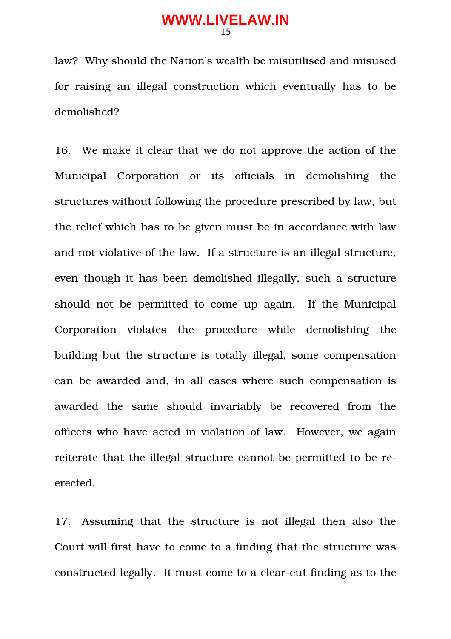law? Why should the Nation's wealth be misutilised and misused for raising an illegal construction which eventually has to be demolished?

16. We make it clear that we do not approve the action of the Municipal Corporation or its officials in demolishing the structures without following the procedure prescribed by law, but the relief which has to be given must be in accordance with law and not violative of the law. If a structure is an illegal structure, even though it has been demolished illegally, such a structure should not be permitted to come up again. If the Municipal Corporation violates the procedure while demolishing the building but the structure is totally illegal, some compensation can be awarded and, in all cases where such compensation is awarded the same should invariably be recovered from the officers who have acted in violation of law. However, we again reiterate that the illegal structure cannot be permitted to be reerected.

17. Assuming that the structure is not illegal then also the Court will first have to come to a finding that the structure was constructed legally. It must come to a clear-cut finding as to the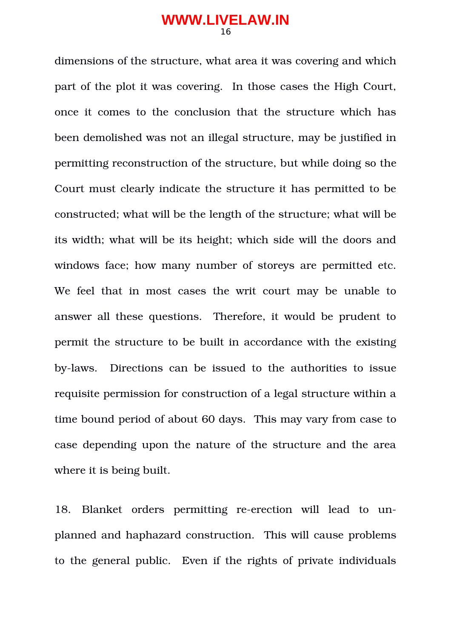dimensions of the structure, what area it was covering and which part of the plot it was covering. In those cases the High Court, once it comes to the conclusion that the structure which has been demolished was not an illegal structure, may be justified in permitting reconstruction of the structure, but while doing so the Court must clearly indicate the structure it has permitted to be constructed; what will be the length of the structure; what will be its width; what will be its height; which side will the doors and windows face; how many number of storeys are permitted etc. We feel that in most cases the writ court may be unable to answer all these questions. Therefore, it would be prudent to permit the structure to be built in accordance with the existing bylaws. Directions can be issued to the authorities to issue requisite permission for construction of a legal structure within a time bound period of about 60 days. This may vary from case to case depending upon the nature of the structure and the area where it is being built.

18. Blanket orders permitting re-erection will lead to unplanned and haphazard construction. This will cause problems to the general public. Even if the rights of private individuals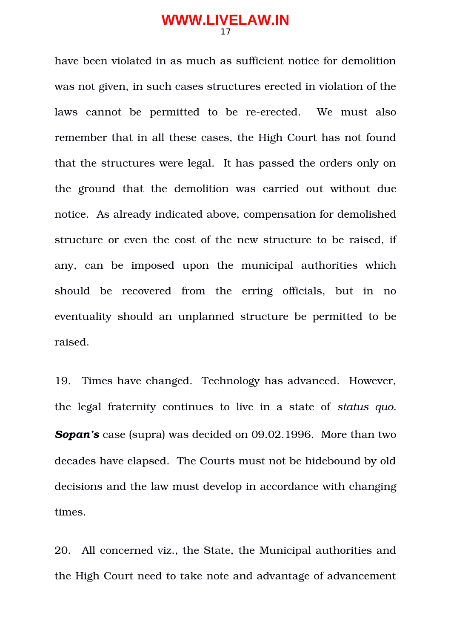have been violated in as much as sufficient notice for demolition was not given, in such cases structures erected in violation of the laws cannot be permitted to be re-erected. We must also remember that in all these cases, the High Court has not found that the structures were legal. It has passed the orders only on the ground that the demolition was carried out without due notice. As already indicated above, compensation for demolished structure or even the cost of the new structure to be raised, if any, can be imposed upon the municipal authorities which should be recovered from the erring officials, but in no eventuality should an unplanned structure be permitted to be raised.

19. Times have changed. Technology has advanced. However, the legal fraternity continues to live in a state of *status quo*. *Sopan's* case (supra) was decided on 09.02.1996. More than two decades have elapsed. The Courts must not be hidebound by old decisions and the law must develop in accordance with changing times.

20. All concerned viz., the State, the Municipal authorities and the High Court need to take note and advantage of advancement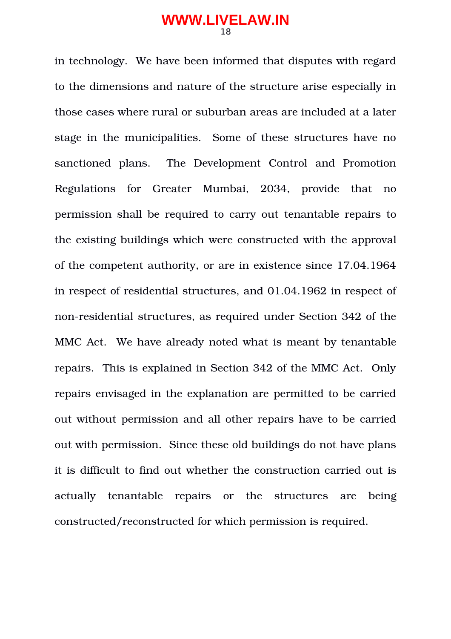in technology. We have been informed that disputes with regard to the dimensions and nature of the structure arise especially in those cases where rural or suburban areas are included at a later stage in the municipalities. Some of these structures have no sanctioned plans. The Development Control and Promotion Regulations for Greater Mumbai, 2034, provide that no permission shall be required to carry out tenantable repairs to the existing buildings which were constructed with the approval of the competent authority, or are in existence since 17.04.1964 in respect of residential structures, and 01.04.1962 in respect of non-residential structures, as required under Section 342 of the MMC Act. We have already noted what is meant by tenantable repairs. This is explained in Section 342 of the MMC Act. Only repairs envisaged in the explanation are permitted to be carried out without permission and all other repairs have to be carried out with permission. Since these old buildings do not have plans it is difficult to find out whether the construction carried out is actually tenantable repairs or the structures are being constructed/reconstructed for which permission is required.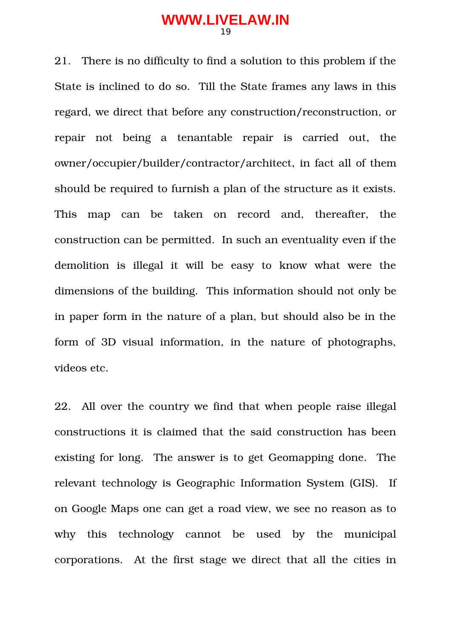21. There is no difficulty to find a solution to this problem if the State is inclined to do so. Till the State frames any laws in this regard, we direct that before any construction/reconstruction, or repair not being a tenantable repair is carried out, the owner/occupier/builder/contractor/architect, in fact all of them should be required to furnish a plan of the structure as it exists. This map can be taken on record and, thereafter, the construction can be permitted. In such an eventuality even if the demolition is illegal it will be easy to know what were the dimensions of the building. This information should not only be in paper form in the nature of a plan, but should also be in the form of 3D visual information, in the nature of photographs, videos etc.

22. All over the country we find that when people raise illegal constructions it is claimed that the said construction has been existing for long. The answer is to get Geomapping done. The relevant technology is Geographic Information System (GIS). If on Google Maps one can get a road view, we see no reason as to why this technology cannot be used by the municipal corporations. At the first stage we direct that all the cities in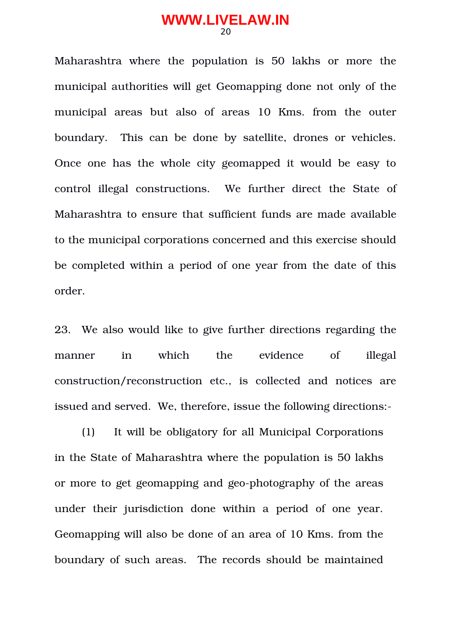Maharashtra where the population is 50 lakhs or more the municipal authorities will get Geomapping done not only of the municipal areas but also of areas 10 Kms. from the outer boundary. This can be done by satellite, drones or vehicles. Once one has the whole city geomapped it would be easy to control illegal constructions. We further direct the State of Maharashtra to ensure that sufficient funds are made available to the municipal corporations concerned and this exercise should be completed within a period of one year from the date of this order.

23. We also would like to give further directions regarding the manner in which the evidence of illegal construction/reconstruction etc., is collected and notices are issued and served. We, therefore, issue the following directions:

(1) It will be obligatory for all Municipal Corporations in the State of Maharashtra where the population is 50 lakhs or more to get geomapping and geo-photography of the areas under their jurisdiction done within a period of one year. Geomapping will also be done of an area of 10 Kms. from the boundary of such areas. The records should be maintained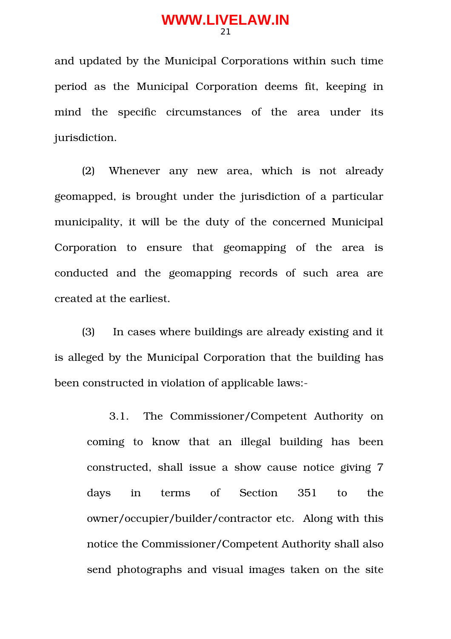and updated by the Municipal Corporations within such time period as the Municipal Corporation deems fit, keeping in mind the specific circumstances of the area under its jurisdiction.

(2) Whenever any new area, which is not already geomapped, is brought under the jurisdiction of a particular municipality, it will be the duty of the concerned Municipal Corporation to ensure that geomapping of the area is conducted and the geomapping records of such area are created at the earliest.

(3) In cases where buildings are already existing and it is alleged by the Municipal Corporation that the building has been constructed in violation of applicable laws:

3.1. The Commissioner/Competent Authority on coming to know that an illegal building has been constructed, shall issue a show cause notice giving 7 days in terms of Section 351 to the owner/occupier/builder/contractor etc. Along with this notice the Commissioner/Competent Authority shall also send photographs and visual images taken on the site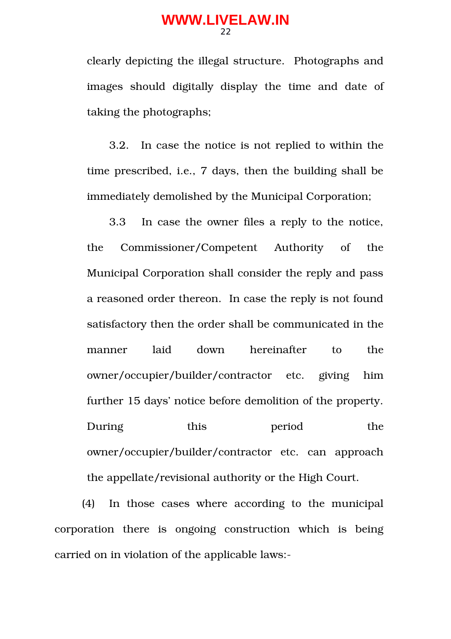clearly depicting the illegal structure. Photographs and images should digitally display the time and date of taking the photographs;

3.2. In case the notice is not replied to within the time prescribed, i.e., 7 days, then the building shall be immediately demolished by the Municipal Corporation;

3.3 In case the owner files a reply to the notice, the Commissioner/Competent Authority of the Municipal Corporation shall consider the reply and pass a reasoned order thereon. In case the reply is not found satisfactory then the order shall be communicated in the manner laid down hereinafter to the owner/occupier/builder/contractor etc. giving him further 15 days' notice before demolition of the property. During this period the owner/occupier/builder/contractor etc. can approach the appellate/revisional authority or the High Court.

(4) In those cases where according to the municipal corporation there is ongoing construction which is being carried on in violation of the applicable laws: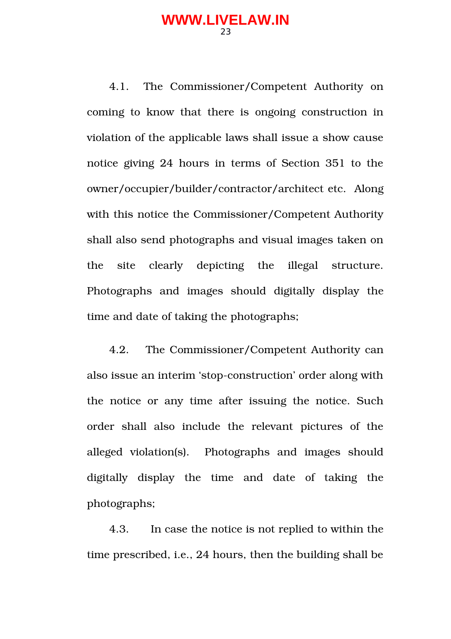4.1. The Commissioner/Competent Authority on coming to know that there is ongoing construction in violation of the applicable laws shall issue a show cause notice giving 24 hours in terms of Section 351 to the owner/occupier/builder/contractor/architect etc. Along with this notice the Commissioner/Competent Authority shall also send photographs and visual images taken on the site clearly depicting the illegal structure. Photographs and images should digitally display the time and date of taking the photographs;

4.2. The Commissioner/Competent Authority can also issue an interim 'stop-construction' order along with the notice or any time after issuing the notice. Such order shall also include the relevant pictures of the alleged violation(s). Photographs and images should digitally display the time and date of taking the photographs;

4.3. In case the notice is not replied to within the time prescribed, i.e., 24 hours, then the building shall be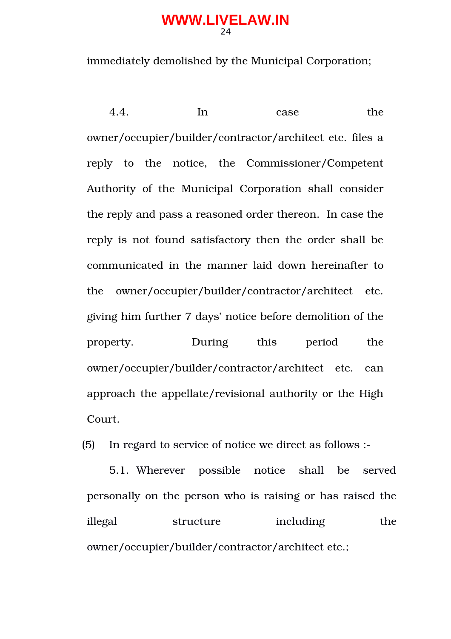immediately demolished by the Municipal Corporation;

4.4. In case the owner/occupier/builder/contractor/architect etc. files a reply to the notice, the Commissioner/Competent Authority of the Municipal Corporation shall consider the reply and pass a reasoned order thereon. In case the reply is not found satisfactory then the order shall be communicated in the manner laid down hereinafter to the owner/occupier/builder/contractor/architect etc. giving him further 7 days' notice before demolition of the property. During this period the owner/occupier/builder/contractor/architect etc. can approach the appellate/revisional authority or the High Court.

(5) In regard to service of notice we direct as follows :

5.1. Wherever possible notice shall be served personally on the person who is raising or has raised the illegal structure including the owner/occupier/builder/contractor/architect etc.;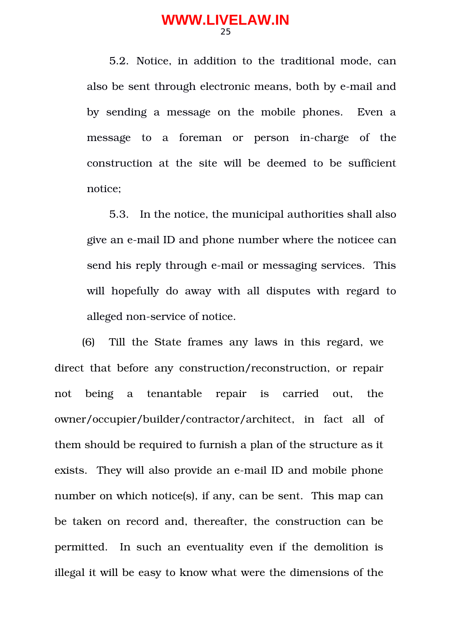5.2. Notice, in addition to the traditional mode, can also be sent through electronic means, both by e-mail and by sending a message on the mobile phones. Even a message to a foreman or person in-charge of the construction at the site will be deemed to be sufficient notice;

5.3. In the notice, the municipal authorities shall also give an e-mail ID and phone number where the noticee can send his reply through e-mail or messaging services. This will hopefully do away with all disputes with regard to alleged non-service of notice.

(6) Till the State frames any laws in this regard, we direct that before any construction/reconstruction, or repair not being a tenantable repair is carried out, the owner/occupier/builder/contractor/architect, in fact all of them should be required to furnish a plan of the structure as it exists. They will also provide an e-mail ID and mobile phone number on which notice(s), if any, can be sent. This map can be taken on record and, thereafter, the construction can be permitted. In such an eventuality even if the demolition is illegal it will be easy to know what were the dimensions of the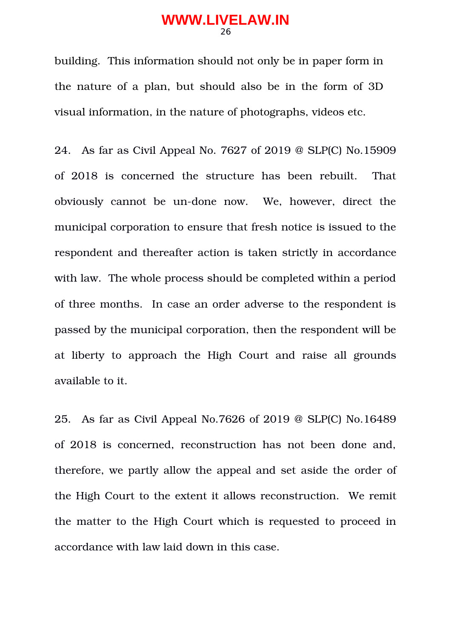building. This information should not only be in paper form in the nature of a plan, but should also be in the form of 3D visual information, in the nature of photographs, videos etc.

24. As far as Civil Appeal No. 7627 of 2019 @ SLP(C) No.15909 of 2018 is concerned the structure has been rebuilt. That obviously cannot be un-done now. We, however, direct the municipal corporation to ensure that fresh notice is issued to the respondent and thereafter action is taken strictly in accordance with law. The whole process should be completed within a period of three months. In case an order adverse to the respondent is passed by the municipal corporation, then the respondent will be at liberty to approach the High Court and raise all grounds available to it.

25. As far as Civil Appeal No.7626 of 2019 @ SLP(C) No.16489 of 2018 is concerned, reconstruction has not been done and, therefore, we partly allow the appeal and set aside the order of the High Court to the extent it allows reconstruction. We remit the matter to the High Court which is requested to proceed in accordance with law laid down in this case.